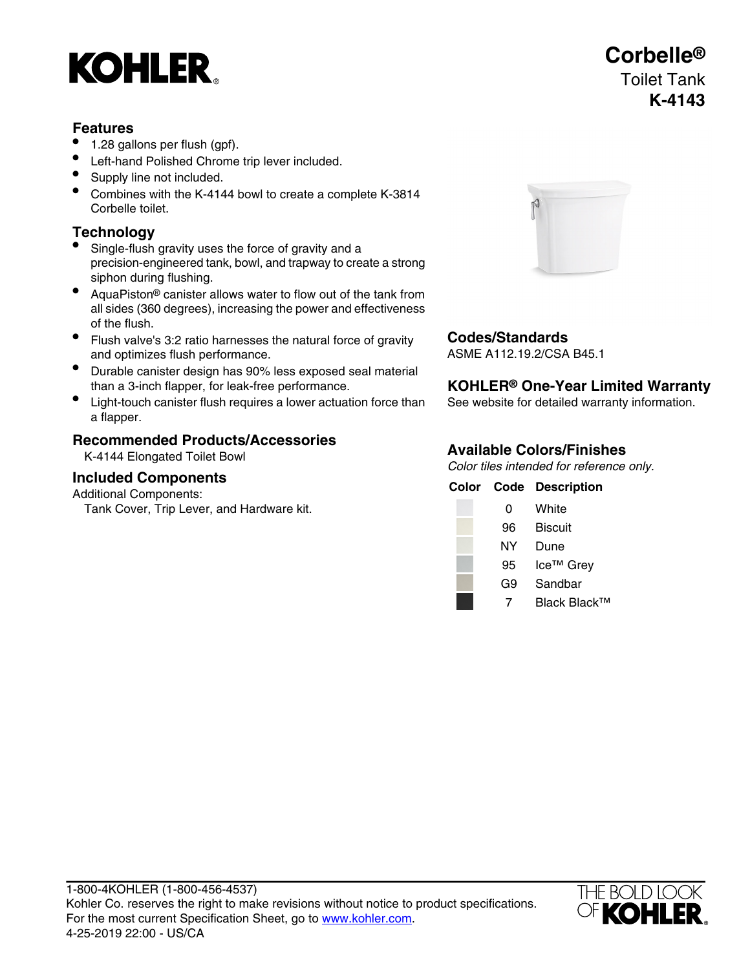# **KOHLER**

### **Features**

- 1.28 gallons per flush (gpf).
- Left-hand Polished Chrome trip lever included.
- Supply line not included.
- Combines with the K-4144 bowl to create a complete K-3814 Corbelle toilet.

## **Technology**

- Single-flush gravity uses the force of gravity and a precision-engineered tank, bowl, and trapway to create a strong siphon during flushing.
- AquaPiston® canister allows water to flow out of the tank from all sides (360 degrees), increasing the power and effectiveness of the flush.
- Flush valve's 3:2 ratio harnesses the natural force of gravity **Codes/Standards** and optimizes flush performance.
- Durable canister design has 90% less exposed seal material than a 3-inch flapper, for leak-free performance.
- Light-touch canister flush requires a lower actuation force than See website for detailed warranty information. a flapper.

# **Available Colors/Finishes Recommended Products/Accessories**

K-4144 Elongated Toilet Bowl

### **Included Components**

Additional Components:

Tank Cover, Trip Lever, and Hardware kit.



### **KOHLER<sup>®</sup> One-Year Limited Warranty**

Color tiles intended for reference only.

|    | <b>Color Code Description</b> |
|----|-------------------------------|
| 0  | White                         |
| 96 | <b>Biscuit</b>                |
| ΝY | Dune                          |
| 95 | Ice™ Grey                     |
| G9 | Sandbar                       |
|    | Black Black™                  |



# **Corbelle®** Toilet Tank **K-4143**